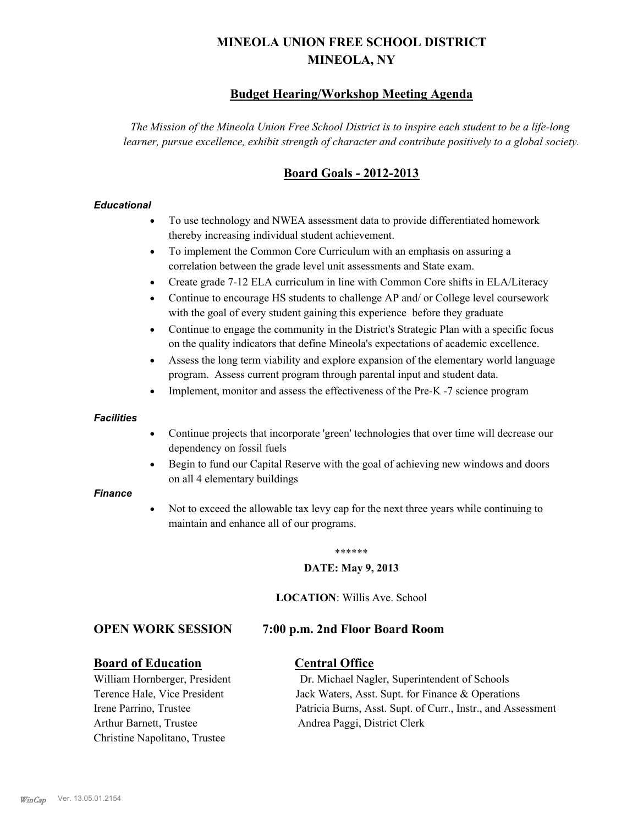# **MINEOLA UNION FREE SCHOOL DISTRICT MINEOLA, NY**

# **Budget Hearing/Workshop Meeting Agenda**

*The Mission of the Mineola Union Free School District is to inspire each student to be a life-long learner, pursue excellence, exhibit strength of character and contribute positively to a global society.*

# **Board Goals - 2012-2013**

## *Educational*

- · To use technology and NWEA assessment data to provide differentiated homework thereby increasing individual student achievement.
- · To implement the Common Core Curriculum with an emphasis on assuring a correlation between the grade level unit assessments and State exam.
- Create grade 7-12 ELA curriculum in line with Common Core shifts in ELA/Literacy
- Continue to encourage HS students to challenge AP and/ or College level coursework with the goal of every student gaining this experience before they graduate
- · Continue to engage the community in the District's Strategic Plan with a specific focus on the quality indicators that define Mineola's expectations of academic excellence.
- Assess the long term viability and explore expansion of the elementary world language program. Assess current program through parental input and student data.
- Implement, monitor and assess the effectiveness of the Pre-K -7 science program

#### *Facilities*

- · Continue projects that incorporate 'green' technologies that over time will decrease our dependency on fossil fuels
- Begin to fund our Capital Reserve with the goal of achieving new windows and doors on all 4 elementary buildings

#### *Finance*

Not to exceed the allowable tax levy cap for the next three years while continuing to maintain and enhance all of our programs.

#### \*\*\*\*\*\*

#### **DATE: May 9, 2013**

**LOCATION**: Willis Ave. School

## **OPEN WORK SESSION 7:00 p.m. 2nd Floor Board Room**

## **Board of Education Central Office**

Arthur Barnett, Trustee Andrea Paggi, District Clerk Christine Napolitano, Trustee

William Hornberger, President Dr. Michael Nagler, Superintendent of Schools Terence Hale, Vice President Jack Waters, Asst. Supt. for Finance & Operations Irene Parrino, Trustee Patricia Burns, Asst. Supt. of Curr., Instr., and Assessment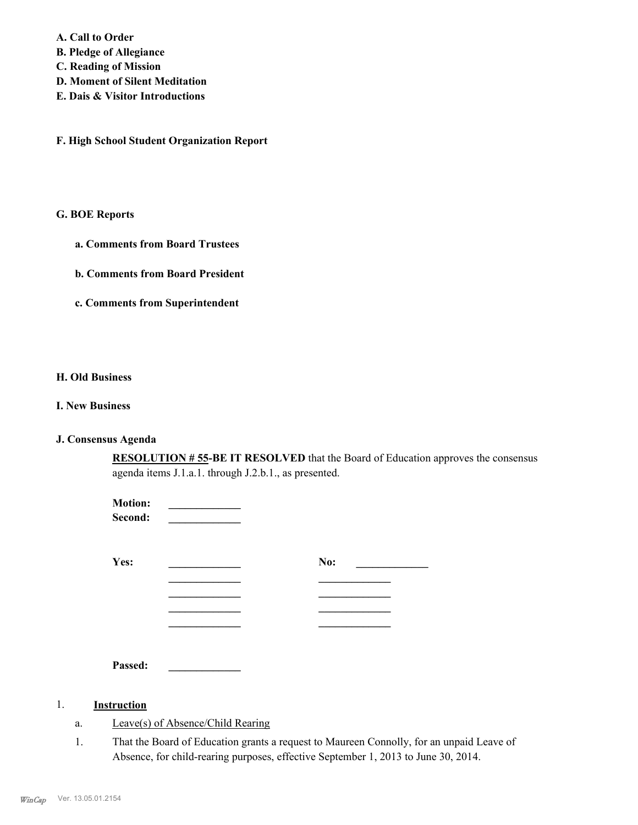**A. Call to Order** 

- **B. Pledge of Allegiance**
- **C. Reading of Mission**
- **D. Moment of Silent Meditation**
- **E. Dais & Visitor Introductions**

**F. High School Student Organization Report**

#### **G. BOE Reports**

- **a. Comments from Board Trustees**
- **b. Comments from Board President**
- **c. Comments from Superintendent**

#### **H. Old Business**

#### **I. New Business**

## **J. Consensus Agenda**

**RESOLUTION # 55-BE IT RESOLVED** that the Board of Education approves the consensus agenda items J.1.a.1. through J.2.b.1., as presented.

| <b>Motion:</b><br>Second: |     |  |
|---------------------------|-----|--|
| Yes:                      | No: |  |
|                           |     |  |
|                           |     |  |
|                           |     |  |
|                           |     |  |

**Passed: \_\_\_\_\_\_\_\_\_\_\_\_\_**

## 1. **Instruction**

- a. Leave(s) of Absence/Child Rearing
- That the Board of Education grants a request to Maureen Connolly, for an unpaid Leave of Absence, for child-rearing purposes, effective September 1, 2013 to June 30, 2014. 1.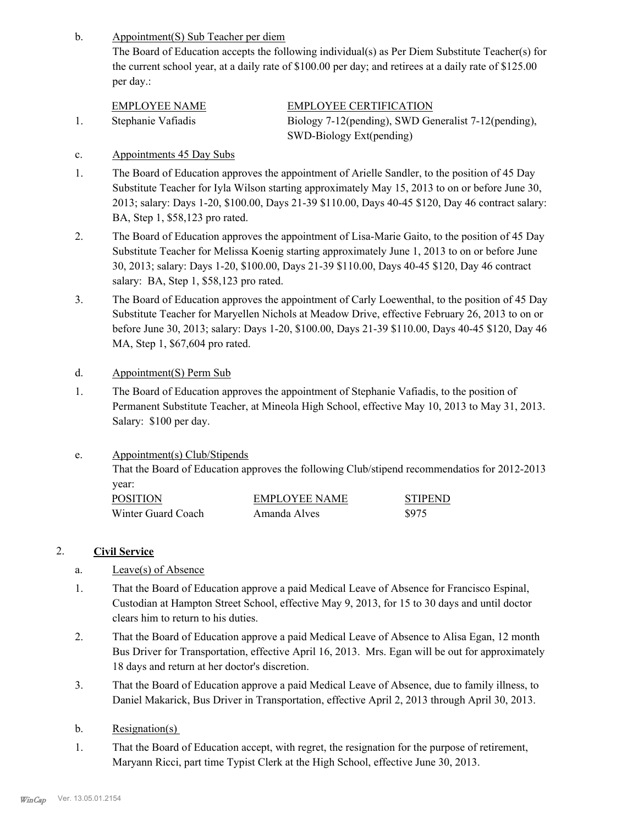Appointment(S) Sub Teacher per diem b.

The Board of Education accepts the following individual(s) as Per Diem Substitute Teacher(s) for the current school year, at a daily rate of \$100.00 per day; and retirees at a daily rate of \$125.00 per day.:

| EMPLOYEE NAME      | <b>EMPLOYEE CERTIFICATION</b>                        |
|--------------------|------------------------------------------------------|
| Stephanie Vafiadis | Biology 7-12(pending), SWD Generalist 7-12(pending), |
|                    | SWD-Biology Ext(pending)                             |

## c. Appointments 45 Day Subs

- The Board of Education approves the appointment of Arielle Sandler, to the position of 45 Day Substitute Teacher for Iyla Wilson starting approximately May 15, 2013 to on or before June 30, 2013; salary: Days 1-20, \$100.00, Days 21-39 \$110.00, Days 40-45 \$120, Day 46 contract salary: BA, Step 1, \$58,123 pro rated. 1.
- The Board of Education approves the appointment of Lisa-Marie Gaito, to the position of 45 Day Substitute Teacher for Melissa Koenig starting approximately June 1, 2013 to on or before June 30, 2013; salary: Days 1-20, \$100.00, Days 21-39 \$110.00, Days 40-45 \$120, Day 46 contract salary: BA, Step 1, \$58,123 pro rated. 2.
- The Board of Education approves the appointment of Carly Loewenthal, to the position of 45 Day Substitute Teacher for Maryellen Nichols at Meadow Drive, effective February 26, 2013 to on or before June 30, 2013; salary: Days 1-20, \$100.00, Days 21-39 \$110.00, Days 40-45 \$120, Day 46 MA, Step 1, \$67,604 pro rated. 3.
- d. Appointment(S) Perm Sub
- The Board of Education approves the appointment of Stephanie Vafiadis, to the position of Permanent Substitute Teacher, at Mineola High School, effective May 10, 2013 to May 31, 2013. Salary: \$100 per day. 1.
- Appointment(s) Club/Stipends e.

That the Board of Education approves the following Club/stipend recommendatios for 2012-2013 year:

| <b>POSITION</b>    | <b>EMPLOYEE NAME</b> | <b>STIPEND</b> |
|--------------------|----------------------|----------------|
| Winter Guard Coach | Amanda Alves         | \$975          |

# 2. **Civil Service**

- a. Leave(s) of Absence
- That the Board of Education approve a paid Medical Leave of Absence for Francisco Espinal, Custodian at Hampton Street School, effective May 9, 2013, for 15 to 30 days and until doctor clears him to return to his duties. 1.
- That the Board of Education approve a paid Medical Leave of Absence to Alisa Egan, 12 month Bus Driver for Transportation, effective April 16, 2013. Mrs. Egan will be out for approximately 18 days and return at her doctor's discretion. 2.
- That the Board of Education approve a paid Medical Leave of Absence, due to family illness, to Daniel Makarick, Bus Driver in Transportation, effective April 2, 2013 through April 30, 2013. 3.
- b. Resignation(s)
- That the Board of Education accept, with regret, the resignation for the purpose of retirement, Maryann Ricci, part time Typist Clerk at the High School, effective June 30, 2013. 1.